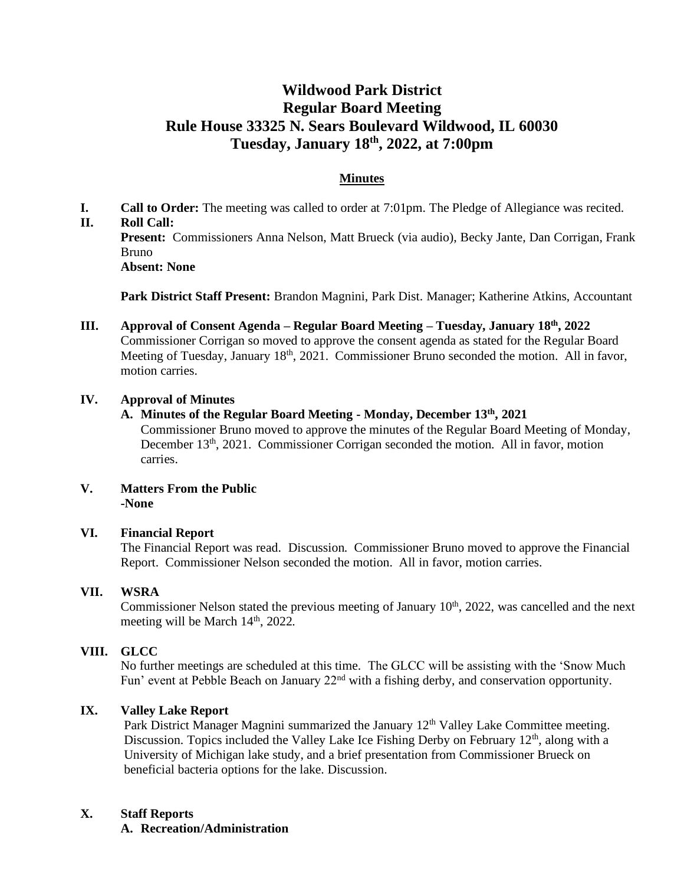## **Wildwood Park District Regular Board Meeting Rule House 33325 N. Sears Boulevard Wildwood, IL 60030 Tuesday, January 18th , 2022, at 7:00pm**

## **Minutes**

**I. Call to Order:** The meeting was called to order at 7:01pm. The Pledge of Allegiance was recited. **II. Roll Call:**

**Present:** Commissioners Anna Nelson, Matt Brueck (via audio), Becky Jante, Dan Corrigan, Frank Bruno **Absent: None**

**Park District Staff Present:** Brandon Magnini, Park Dist. Manager; Katherine Atkins, Accountant

#### **III. Approval of Consent Agenda – Regular Board Meeting – Tuesday, January 18th, 2022** Commissioner Corrigan so moved to approve the consent agenda as stated for the Regular Board Meeting of Tuesday, January 18<sup>th</sup>, 2021. Commissioner Bruno seconded the motion. All in favor, motion carries.

#### **IV. Approval of Minutes**

**A. Minutes of the Regular Board Meeting - Monday, December 13th , 2021**

Commissioner Bruno moved to approve the minutes of the Regular Board Meeting of Monday, December 13<sup>th</sup>, 2021. Commissioner Corrigan seconded the motion. All in favor, motion carries.

#### **V. Matters From the Public -None**

#### **VI. Financial Report**

The Financial Report was read. Discussion. Commissioner Bruno moved to approve the Financial Report. Commissioner Nelson seconded the motion. All in favor, motion carries.

#### **VII. WSRA**

Commissioner Nelson stated the previous meeting of January 10<sup>th</sup>, 2022, was cancelled and the next meeting will be March  $14<sup>th</sup>$ , 2022.

#### **VIII. GLCC**

No further meetings are scheduled at this time. The GLCC will be assisting with the 'Snow Much Fun' event at Pebble Beach on January 22<sup>nd</sup> with a fishing derby, and conservation opportunity.

#### **IX. Valley Lake Report**

Park District Manager Magnini summarized the January  $12<sup>th</sup>$  Valley Lake Committee meeting. Discussion. Topics included the Valley Lake Ice Fishing Derby on February 12<sup>th</sup>, along with a University of Michigan lake study, and a brief presentation from Commissioner Brueck on beneficial bacteria options for the lake. Discussion.

#### **X. Staff Reports**

**A. Recreation/Administration**